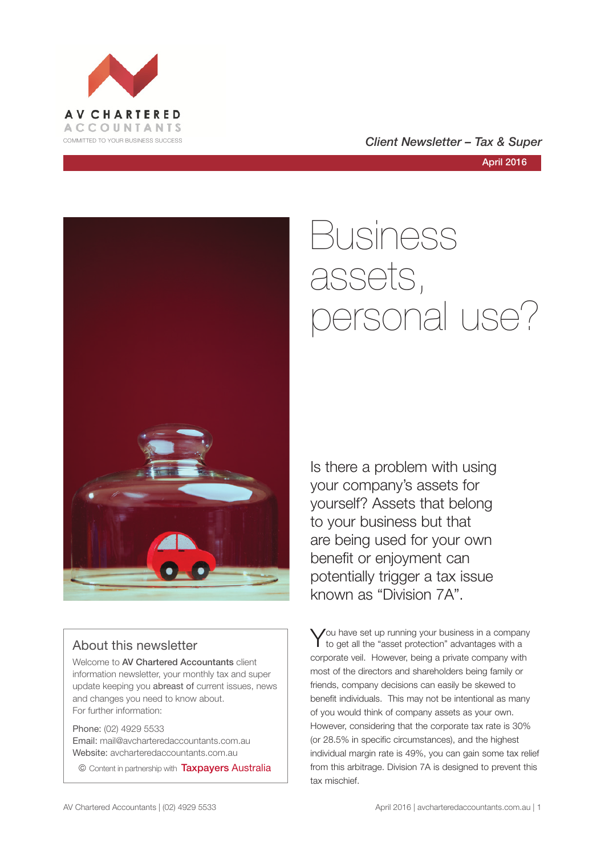



April 2016

# Business assets, personal use?

Is there a problem with using your company's assets for yourself? Assets that belong to your business but that are being used for your own benefit or enjoyment can potentially trigger a tax issue known as "Division 7A".

You have set up running your business in a company<br>to get all the "asset protection" advantages with a corporate veil. However, being a private company with most of the directors and shareholders being family or friends, company decisions can easily be skewed to benefit individuals. This may not be intentional as many of you would think of company assets as your own. However, considering that the corporate tax rate is 30% (or 28.5% in specific circumstances), and the highest individual margin rate is 49%, you can gain some tax relief from this arbitrage. Division 7A is designed to prevent this tax mischief.



### About this newsletter

Welcome to AV Chartered Accountants client information newsletter, your monthly tax and super update keeping you abreast of current issues, news and changes you need to know about. For further information:

Phone: (02) 4929 5533 Email: mail@avcharteredaccountants.com.au Website: avcharteredaccountants.com.au

© Content in partnership with Taxpayers Australia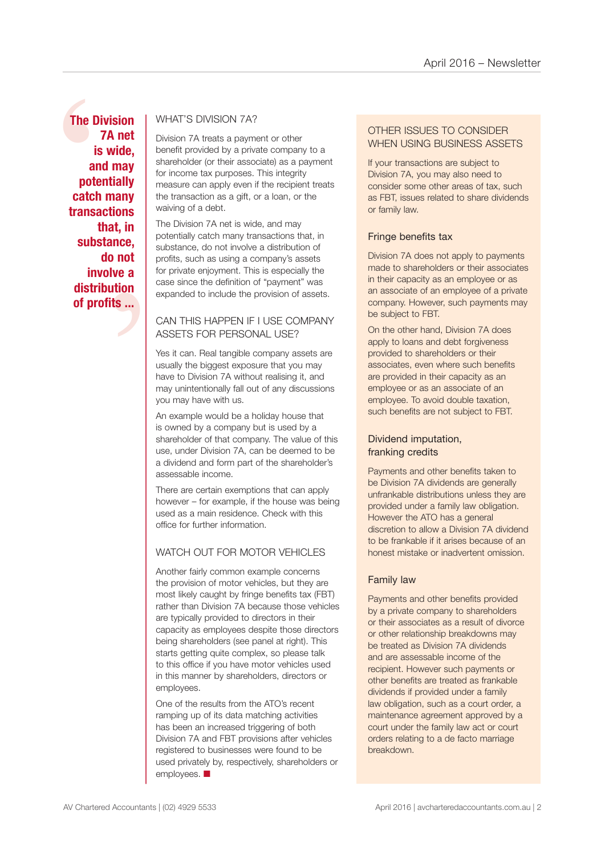The Diver<br>
7<br>
is<br>
and<br>
poter<br>
catch<br>
transad<br>
th<br>
subst t, in<br>
nce,<br>
not<br>
ve a<br>
tion<br>
is ... **The Division 7A net is wide, and may potentially catch many transactions that, in substance, do not involve a distribution of profits ...**

### WHAT'S DIVISION 7A?

Division 7A treats a payment or other benefit provided by a private company to a shareholder (or their associate) as a payment for income tax purposes. This integrity measure can apply even if the recipient treats the transaction as a gift, or a loan, or the waiving of a debt.

The Division 7A net is wide, and may potentially catch many transactions that, in substance, do not involve a distribution of profits, such as using a company's assets for private enjoyment. This is especially the case since the definition of "payment" was expanded to include the provision of assets.

### CAN THIS HAPPEN IF I USE COMPANY ASSETS FOR PERSONAL USE?

Yes it can. Real tangible company assets are usually the biggest exposure that you may have to Division 7A without realising it, and may unintentionally fall out of any discussions you may have with us.

An example would be a holiday house that is owned by a company but is used by a shareholder of that company. The value of this use, under Division 7A, can be deemed to be a dividend and form part of the shareholder's assessable income.

There are certain exemptions that can apply however – for example, if the house was being used as a main residence. Check with this office for further information.

### WATCH OUT FOR MOTOR VEHICLES

Another fairly common example concerns the provision of motor vehicles, but they are most likely caught by fringe benefits tax (FBT) rather than Division 7A because those vehicles are typically provided to directors in their capacity as employees despite those directors being shareholders (see panel at right). This starts getting quite complex, so please talk to this office if you have motor vehicles used in this manner by shareholders, directors or employees.

One of the results from the ATO's recent ramping up of its data matching activities has been an increased triggering of both Division 7A and FBT provisions after vehicles registered to businesses were found to be used privately by, respectively, shareholders or employees.  $\blacksquare$ 

### OTHER ISSUES TO CONSIDER WHEN USING BUSINESS ASSETS

If your transactions are subject to Division 7A, you may also need to consider some other areas of tax, such as FBT, issues related to share dividends or family law.

### Fringe benefits tax

Division 7A does not apply to payments made to shareholders or their associates in their capacity as an employee or as an associate of an employee of a private company. However, such payments may be subject to FBT.

On the other hand, Division 7A does apply to loans and debt forgiveness provided to shareholders or their associates, even where such benefits are provided in their capacity as an employee or as an associate of an employee. To avoid double taxation, such benefits are not subject to FBT.

### Dividend imputation, franking credits

Payments and other benefits taken to be Division 7A dividends are generally unfrankable distributions unless they are provided under a family law obligation. However the ATO has a general discretion to allow a Division 7A dividend to be frankable if it arises because of an honest mistake or inadvertent omission.

### Family law

Payments and other benefits provided by a private company to shareholders or their associates as a result of divorce or other relationship breakdowns may be treated as Division 7A dividends and are assessable income of the recipient. However such payments or other benefits are treated as frankable dividends if provided under a family law obligation, such as a court order, a maintenance agreement approved by a court under the family law act or court orders relating to a de facto marriage breakdown.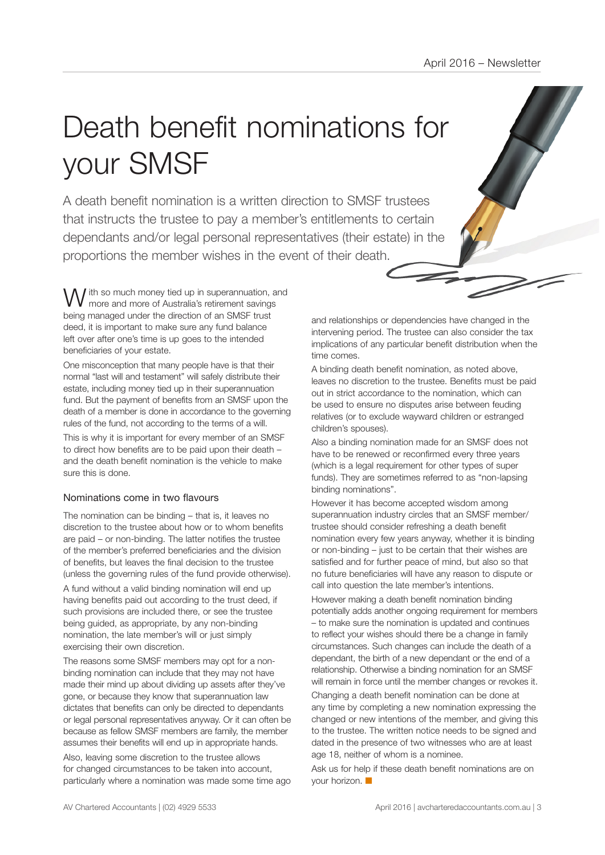# Death benefit nominations for your SMSF

A death benefit nomination is a written direction to SMSF trustees that instructs the trustee to pay a member's entitlements to certain dependants and/or legal personal representatives (their estate) in the proportions the member wishes in the event of their death.

I ith so much money tied up in superannuation, and more and more of Australia's retirement savings being managed under the direction of an SMSF trust deed, it is important to make sure any fund balance left over after one's time is up goes to the intended beneficiaries of your estate.

One misconception that many people have is that their normal "last will and testament" will safely distribute their estate, including money tied up in their superannuation fund. But the payment of benefits from an SMSF upon the death of a member is done in accordance to the governing rules of the fund, not according to the terms of a will.

This is why it is important for every member of an SMSF to direct how benefits are to be paid upon their death – and the death benefit nomination is the vehicle to make sure this is done.

### Nominations come in two flavours

The nomination can be binding – that is, it leaves no discretion to the trustee about how or to whom benefits are paid – or non-binding. The latter notifies the trustee of the member's preferred beneficiaries and the division of benefits, but leaves the final decision to the trustee (unless the governing rules of the fund provide otherwise).

A fund without a valid binding nomination will end up having benefits paid out according to the trust deed, if such provisions are included there, or see the trustee being guided, as appropriate, by any non-binding nomination, the late member's will or just simply exercising their own discretion.

The reasons some SMSF members may opt for a nonbinding nomination can include that they may not have made their mind up about dividing up assets after they've gone, or because they know that superannuation law dictates that benefits can only be directed to dependants or legal personal representatives anyway. Or it can often be because as fellow SMSF members are family, the member assumes their benefits will end up in appropriate hands.

Also, leaving some discretion to the trustee allows for changed circumstances to be taken into account, particularly where a nomination was made some time ago and relationships or dependencies have changed in the intervening period. The trustee can also consider the tax implications of any particular benefit distribution when the time comes.

A binding death benefit nomination, as noted above, leaves no discretion to the trustee. Benefits must be paid out in strict accordance to the nomination, which can be used to ensure no disputes arise between feuding relatives (or to exclude wayward children or estranged children's spouses).

Also a binding nomination made for an SMSF does not have to be renewed or reconfirmed every three years (which is a legal requirement for other types of super funds). They are sometimes referred to as "non-lapsing binding nominations".

However it has become accepted wisdom among superannuation industry circles that an SMSF member/ trustee should consider refreshing a death benefit nomination every few years anyway, whether it is binding or non-binding – just to be certain that their wishes are satisfied and for further peace of mind, but also so that no future beneficiaries will have any reason to dispute or call into question the late member's intentions.

However making a death benefit nomination binding potentially adds another ongoing requirement for members – to make sure the nomination is updated and continues to reflect your wishes should there be a change in family circumstances. Such changes can include the death of a dependant, the birth of a new dependant or the end of a relationship. Otherwise a binding nomination for an SMSF will remain in force until the member changes or revokes it.

Changing a death benefit nomination can be done at any time by completing a new nomination expressing the changed or new intentions of the member, and giving this to the trustee. The written notice needs to be signed and dated in the presence of two witnesses who are at least age 18, neither of whom is a nominee.

Ask us for help if these death benefit nominations are on your horizon.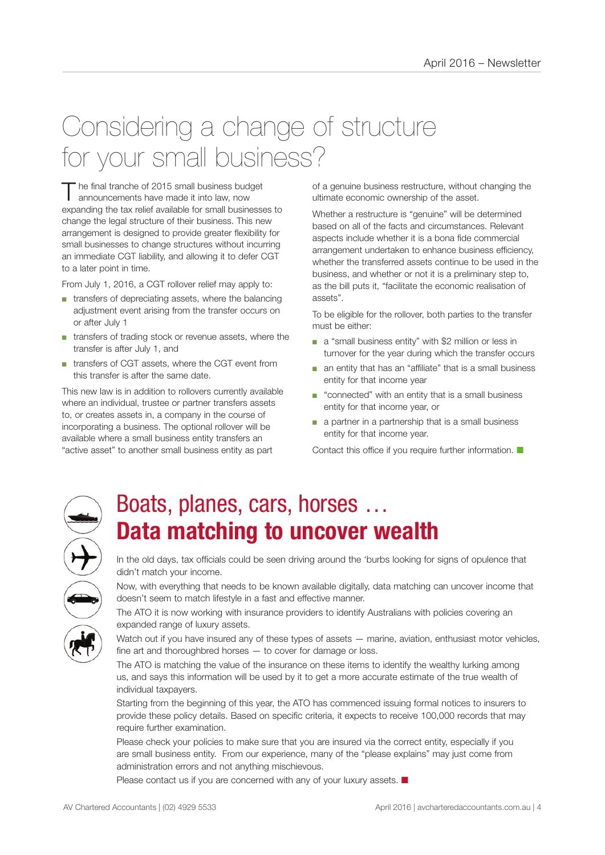## Considering a change of structure for your small business?

The final tranche of 2015 small business budget<br>announcements have made it into law, now expanding the tax relief available for small businesses to change the legal structure of their business. This new arrangement is designed to provide greater flexibility for small businesses to change structures without incurring an immediate CGT liability, and allowing it to defer CGT to a later point in time.

From July 1, 2016, a CGT rollover relief may apply to:

- transfers of depreciating assets, where the balancing adjustment event arising from the transfer occurs on or after July 1
- transfers of trading stock or revenue assets, where the transfer is after July 1, and
- transfers of CGT assets, where the CGT event from this transfer is after the same date.

This new law is in addition to rollovers currently available where an individual, trustee or partner transfers assets to, or creates assets in, a company in the course of incorporating a business. The optional rollover will be available where a small business entity transfers an "active asset" to another small business entity as part

of a genuine business restructure, without changing the ultimate economic ownership of the asset.

Whether a restructure is "genuine" will be determined based on all of the facts and circumstances. Relevant aspects include whether it is a bona fide commercial arrangement undertaken to enhance business efficiency, whether the transferred assets continue to be used in the business, and whether or not it is a preliminary step to, as the bill puts it, "facilitate the economic realisation of assets".

To be eligible for the rollover, both parties to the transfer must be either:

- a "small business entity" with \$2 million or less in turnover for the year during which the transfer occurs
- an entity that has an "affiliate" that is a small business entity for that income year
- "connected" with an entity that is a small business entity for that income year, or
- a partner in a partnership that is a small business entity for that income year.

Contact this office if you require further information.  $\blacksquare$ 



### Boats, planes, cars, horses … **Data matching to uncover wealth**

In the old days, tax officials could be seen driving around the 'burbs looking for signs of opulence that didn't match your income.

Now, with everything that needs to be known available digitally, data matching can uncover income that doesn't seem to match lifestyle in a fast and effective manner.

The ATO it is now working with insurance providers to identify Australians with policies covering an expanded range of luxury assets.

Watch out if you have insured any of these types of assets — marine, aviation, enthusiast motor vehicles, fine art and thoroughbred horses — to cover for damage or loss.

The ATO is matching the value of the insurance on these items to identify the wealthy lurking among us, and says this information will be used by it to get a more accurate estimate of the true wealth of individual taxpayers.

Starting from the beginning of this year, the ATO has commenced issuing formal notices to insurers to provide these policy details. Based on specific criteria, it expects to receive 100,000 records that may require further examination.

Please check your policies to make sure that you are insured via the correct entity, especially if you are small business entity. From our experience, many of the "please explains" may just come from administration errors and not anything mischievous.

Please contact us if you are concerned with any of your luxury assets.  $\blacksquare$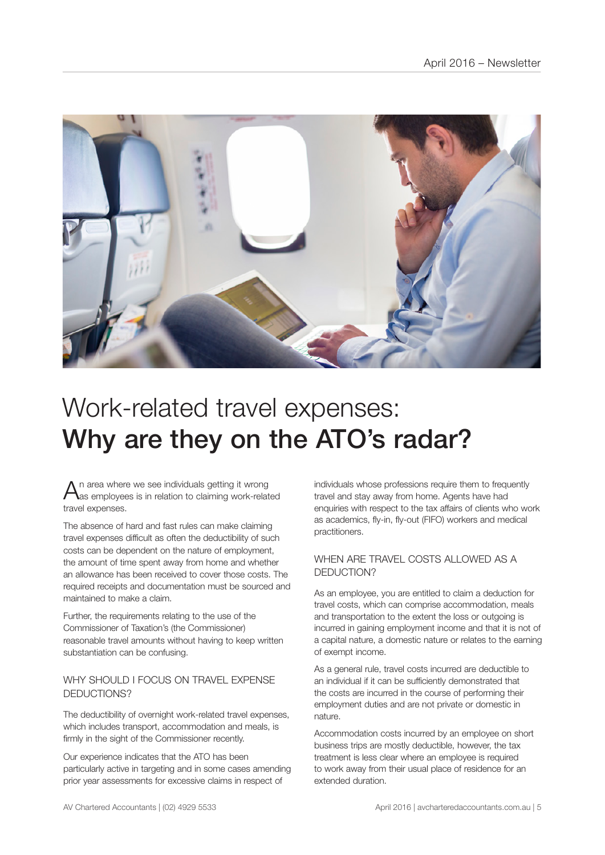

## Work-related travel expenses: Why are they on the ATO's radar?

 $A$ n area where we see individuals getting it wrong<br>Aas employees is in relation to claiming work-related travel expenses.

The absence of hard and fast rules can make claiming travel expenses difficult as often the deductibility of such costs can be dependent on the nature of employment, the amount of time spent away from home and whether an allowance has been received to cover those costs. The required receipts and documentation must be sourced and maintained to make a claim.

Further, the requirements relating to the use of the Commissioner of Taxation's (the Commissioner) reasonable travel amounts without having to keep written substantiation can be confusing.

### WHY SHOULD LEOCUS ON TRAVEL EXPENSE DEDUCTIONS?

The deductibility of overnight work-related travel expenses, which includes transport, accommodation and meals, is firmly in the sight of the Commissioner recently.

Our experience indicates that the ATO has been particularly active in targeting and in some cases amending prior year assessments for excessive claims in respect of

individuals whose professions require them to frequently travel and stay away from home. Agents have had enquiries with respect to the tax affairs of clients who work as academics, fly-in, fly-out (FIFO) workers and medical practitioners.

### WHEN ARE TRAVEL COSTS ALLOWED AS A DEDUCTION?

As an employee, you are entitled to claim a deduction for travel costs, which can comprise accommodation, meals and transportation to the extent the loss or outgoing is incurred in gaining employment income and that it is not of a capital nature, a domestic nature or relates to the earning of exempt income.

As a general rule, travel costs incurred are deductible to an individual if it can be sufficiently demonstrated that the costs are incurred in the course of performing their employment duties and are not private or domestic in nature.

Accommodation costs incurred by an employee on short business trips are mostly deductible, however, the tax treatment is less clear where an employee is required to work away from their usual place of residence for an extended duration.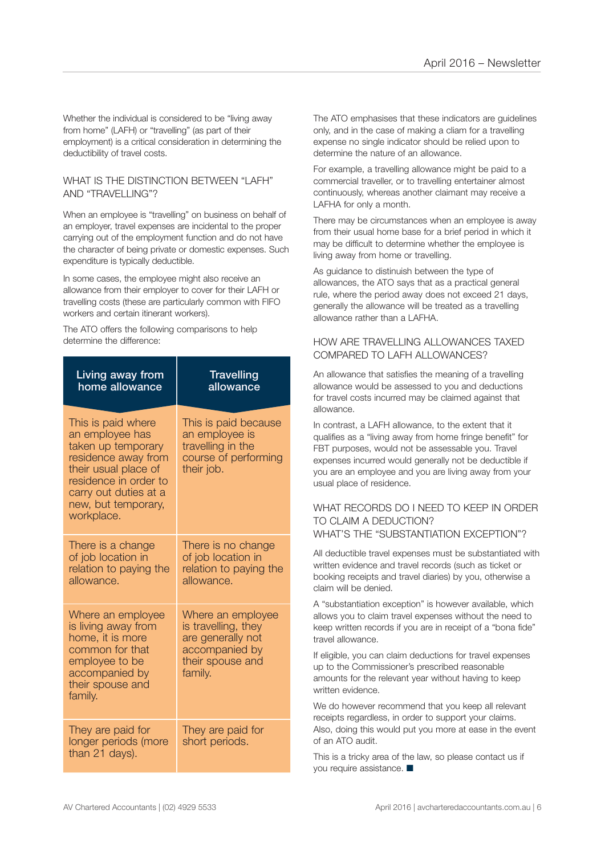Whether the individual is considered to be "living away from home" (LAFH) or "travelling" (as part of their employment) is a critical consideration in determining the deductibility of travel costs.

#### WHAT IS THE DISTINCTION BETWEEN "I AFH" AND "TRAVELLING"?

When an employee is "travelling" on business on behalf of an employer, travel expenses are incidental to the proper carrying out of the employment function and do not have the character of being private or domestic expenses. Such expenditure is typically deductible.

In some cases, the employee might also receive an allowance from their employer to cover for their LAFH or travelling costs (these are particularly common with FIFO workers and certain itinerant workers).

The ATO offers the following comparisons to help determine the difference:

| Living away from<br>home allowance                                                                                                                                                                | <b>Travelling</b><br>allowance                                                                                 |
|---------------------------------------------------------------------------------------------------------------------------------------------------------------------------------------------------|----------------------------------------------------------------------------------------------------------------|
| This is paid where<br>an employee has<br>taken up temporary<br>residence away from<br>their usual place of<br>residence in order to<br>carry out duties at a<br>new, but temporary,<br>workplace. | This is paid because<br>an employee is<br>travelling in the<br>course of performing<br>their job.              |
| There is a change<br>of job location in<br>relation to paying the<br>allowance.                                                                                                                   | There is no change<br>of job location in<br>relation to paying the<br>allowance.                               |
| Where an employee<br>is living away from<br>home, it is more<br>common for that<br>employee to be<br>accompanied by<br>their spouse and<br>family.                                                | Where an employee<br>is travelling, they<br>are generally not<br>accompanied by<br>their spouse and<br>family. |
| They are paid for<br>longer periods (more<br>than 21 days).                                                                                                                                       | They are paid for<br>short periods.                                                                            |

The ATO emphasises that these indicators are guidelines only, and in the case of making a cliam for a travelling expense no single indicator should be relied upon to determine the nature of an allowance.

For example, a travelling allowance might be paid to a commercial traveller, or to travelling entertainer almost continuously, whereas another claimant may receive a LAFHA for only a month.

There may be circumstances when an employee is away from their usual home base for a brief period in which it may be difficult to determine whether the employee is living away from home or travelling.

As guidance to distinuish between the type of allowances, the ATO says that as a practical general rule, where the period away does not exceed 21 days, generally the allowance will be treated as a travelling allowance rather than a LAFHA.

### HOW ARE TRAVELLING ALLOWANCES TAXED COMPARED TO LAFH ALLOWANCES?

An allowance that satisfies the meaning of a travelling allowance would be assessed to you and deductions for travel costs incurred may be claimed against that allowance.

In contrast, a LAFH allowance, to the extent that it qualifies as a "living away from home fringe benefit" for FBT purposes, would not be assessable you. Travel expenses incurred would generally not be deductible if you are an employee and you are living away from your usual place of residence.

#### WHAT RECORDS DO I NEED TO KEEP IN ORDER TO CLAIM A DEDUCTION? WHAT'S THE "SUBSTANTIATION EXCEPTION"?

All deductible travel expenses must be substantiated with written evidence and travel records (such as ticket or booking receipts and travel diaries) by you, otherwise a claim will be denied.

A "substantiation exception" is however available, which allows you to claim travel expenses without the need to keep written records if you are in receipt of a "bona fide" travel allowance.

If eligible, you can claim deductions for travel expenses up to the Commissioner's prescribed reasonable amounts for the relevant year without having to keep written evidence.

We do however recommend that you keep all relevant receipts regardless, in order to support your claims. Also, doing this would put you more at ease in the event of an ATO audit.

This is a tricky area of the law, so please contact us if you require assistance.  $\blacksquare$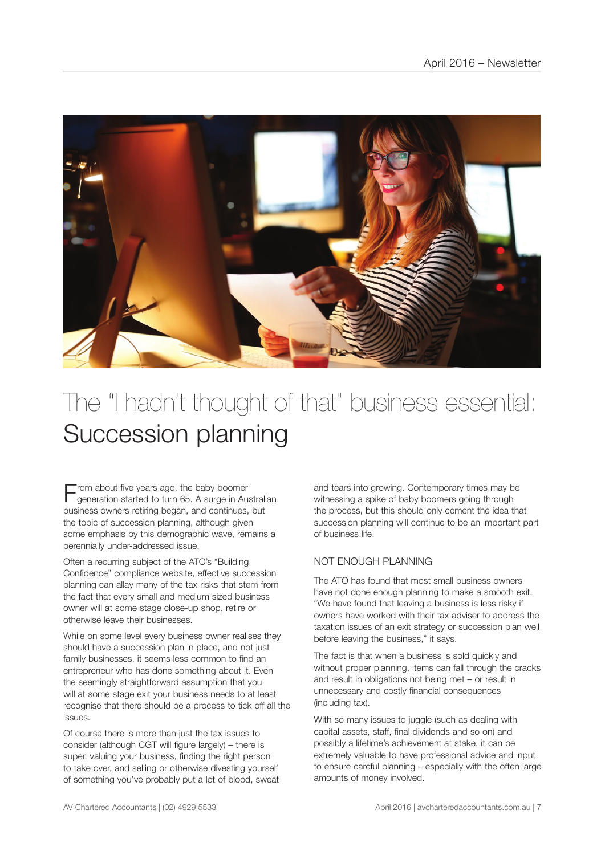

## The "I hadn't thought of that" business essential: Succession planning

 $\blacksquare$  rom about five years ago, the baby boomer generation started to turn 65. A surge in Australian business owners retiring began, and continues, but the topic of succession planning, although given some emphasis by this demographic wave, remains a perennially under-addressed issue.

Often a recurring subject of the ATO's "Building Confidence" compliance website, effective succession planning can allay many of the tax risks that stem from the fact that every small and medium sized business owner will at some stage close-up shop, retire or otherwise leave their businesses.

While on some level every business owner realises they should have a succession plan in place, and not just family businesses, it seems less common to find an entrepreneur who has done something about it. Even the seemingly straightforward assumption that you will at some stage exit your business needs to at least recognise that there should be a process to tick off all the issues.

Of course there is more than just the tax issues to consider (although CGT will figure largely) – there is super, valuing your business, finding the right person to take over, and selling or otherwise divesting yourself of something you've probably put a lot of blood, sweat

and tears into growing. Contemporary times may be witnessing a spike of baby boomers going through the process, but this should only cement the idea that succession planning will continue to be an important part of business life.

### NOT ENOUGH PLANNING

The ATO has found that most small business owners have not done enough planning to make a smooth exit. "We have found that leaving a business is less risky if owners have worked with their tax adviser to address the taxation issues of an exit strategy or succession plan well before leaving the business," it says.

The fact is that when a business is sold quickly and without proper planning, items can fall through the cracks and result in obligations not being met – or result in unnecessary and costly financial consequences (including tax).

With so many issues to juggle (such as dealing with capital assets, staff, final dividends and so on) and possibly a lifetime's achievement at stake, it can be extremely valuable to have professional advice and input to ensure careful planning – especially with the often large amounts of money involved.